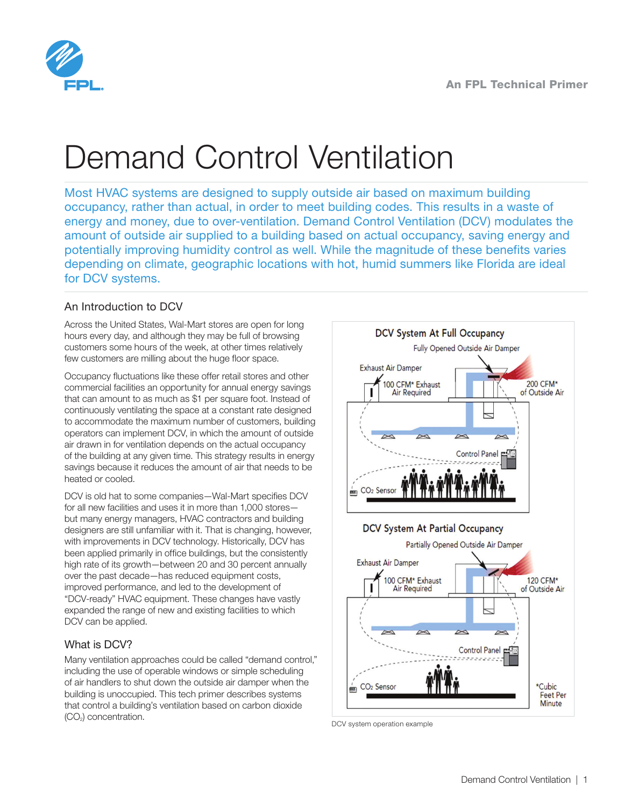

# Demand Control Ventilation

Most HVAC systems are designed to supply outside air based on maximum building occupancy, rather than actual, in order to meet building codes. This results in a waste of energy and money, due to over-ventilation. Demand Control Ventilation (DCV) modulates the amount of outside air supplied to a building based on actual occupancy, saving energy and potentially improving humidity control as well. While the magnitude of these benefits varies depending on climate, geographic locations with hot, humid summers like Florida are ideal for DCV systems.

# An Introduction to DCV

Across the United States, Wal-Mart stores are open for long hours every day, and although they may be full of browsing customers some hours of the week, at other times relatively few customers are milling about the huge floor space.

Occupancy fluctuations like these offer retail stores and other commercial facilities an opportunity for annual energy savings that can amount to as much as \$1 per square foot. Instead of continuously ventilating the space at a constant rate designed to accommodate the maximum number of customers, building operators can implement DCV, in which the amount of outside air drawn in for ventilation depends on the actual occupancy of the building at any given time. This strategy results in energy savings because it reduces the amount of air that needs to be heated or cooled.

DCV is old hat to some companies—Wal-Mart specifies DCV for all new facilities and uses it in more than 1,000 stores but many energy managers, HVAC contractors and building designers are still unfamiliar with it. That is changing, however, with improvements in DCV technology. Historically, DCV has been applied primarily in office buildings, but the consistently high rate of its growth—between 20 and 30 percent annually over the past decade—has reduced equipment costs, improved performance, and led to the development of "DCV-ready" HVAC equipment. These changes have vastly expanded the range of new and existing facilities to which DCV can be applied.

## What is DCV?

Many ventilation approaches could be called "demand control," including the use of operable windows or simple scheduling of air handlers to shut down the outside air damper when the building is unoccupied. This tech primer describes systems that control a building's ventilation based on carbon dioxide (CO2) concentration.



DCV system operation example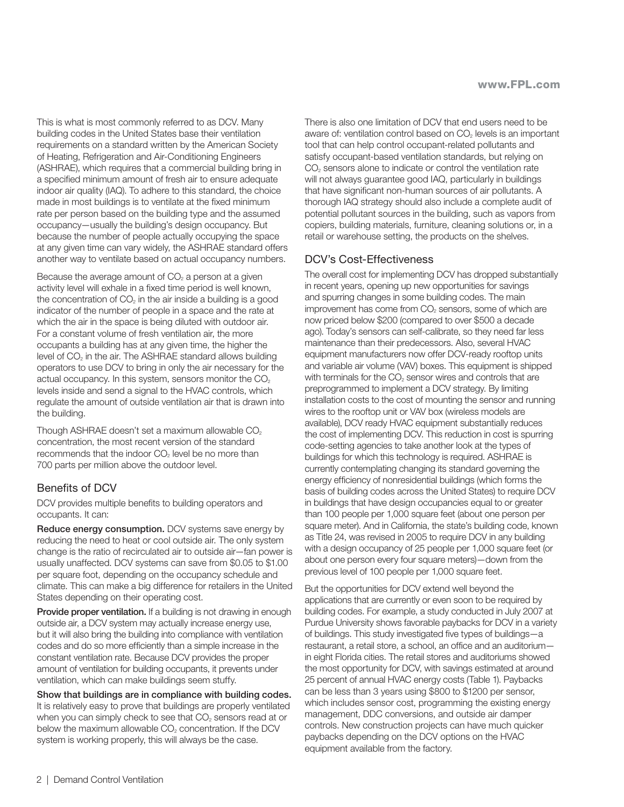This is what is most commonly referred to as DCV. Many building codes in the United States base their ventilation requirements on a standard written by the American Society of Heating, Refrigeration and Air-Conditioning Engineers (ASHRAE), which requires that a commercial building bring in a specified minimum amount of fresh air to ensure adequate indoor air quality (IAQ). To adhere to this standard, the choice made in most buildings is to ventilate at the fixed minimum rate per person based on the building type and the assumed occupancy—usually the building's design occupancy. But because the number of people actually occupying the space at any given time can vary widely, the ASHRAE standard offers another way to ventilate based on actual occupancy numbers.

Because the average amount of  $CO<sub>2</sub>$  a person at a given activity level will exhale in a fixed time period is well known, the concentration of  $CO<sub>2</sub>$  in the air inside a building is a good indicator of the number of people in a space and the rate at which the air in the space is being diluted with outdoor air. For a constant volume of fresh ventilation air, the more occupants a building has at any given time, the higher the level of  $CO<sub>2</sub>$  in the air. The ASHRAE standard allows building operators to use DCV to bring in only the air necessary for the actual occupancy. In this system, sensors monitor the  $CO<sub>2</sub>$ levels inside and send a signal to the HVAC controls, which regulate the amount of outside ventilation air that is drawn into the building.

Though ASHRAE doesn't set a maximum allowable  $CO<sub>2</sub>$ concentration, the most recent version of the standard recommends that the indoor  $CO<sub>2</sub>$  level be no more than 700 parts per million above the outdoor level.

## Benefits of DCV

DCV provides multiple benefits to building operators and occupants. It can:

Reduce energy consumption. DCV systems save energy by reducing the need to heat or cool outside air. The only system change is the ratio of recirculated air to outside air—fan power is usually unaffected. DCV systems can save from \$0.05 to \$1.00 per square foot, depending on the occupancy schedule and climate. This can make a big difference for retailers in the United States depending on their operating cost.

Provide proper ventilation. If a building is not drawing in enough outside air, a DCV system may actually increase energy use, but it will also bring the building into compliance with ventilation codes and do so more efficiently than a simple increase in the constant ventilation rate. Because DCV provides the proper amount of ventilation for building occupants, it prevents under ventilation, which can make buildings seem stuffy.

Show that buildings are in compliance with building codes. It is relatively easy to prove that buildings are properly ventilated when you can simply check to see that  $CO<sub>2</sub>$  sensors read at or below the maximum allowable  $CO<sub>2</sub>$  concentration. If the DCV system is working properly, this will always be the case.

There is also one limitation of DCV that end users need to be aware of: ventilation control based on CO<sub>2</sub> levels is an important tool that can help control occupant-related pollutants and satisfy occupant-based ventilation standards, but relying on CO2 sensors alone to indicate or control the ventilation rate will not always guarantee good IAQ, particularly in buildings that have significant non-human sources of air pollutants. A thorough IAQ strategy should also include a complete audit of potential pollutant sources in the building, such as vapors from copiers, building materials, furniture, cleaning solutions or, in a retail or warehouse setting, the products on the shelves.

## DCV's Cost-Effectiveness

The overall cost for implementing DCV has dropped substantially in recent years, opening up new opportunities for savings and spurring changes in some building codes. The main improvement has come from  $CO<sub>2</sub>$  sensors, some of which are now priced below \$200 (compared to over \$500 a decade ago). Today's sensors can self-calibrate, so they need far less maintenance than their predecessors. Also, several HVAC equipment manufacturers now offer DCV-ready rooftop units and variable air volume (VAV) boxes. This equipment is shipped with terminals for the  $CO<sub>2</sub>$  sensor wires and controls that are preprogrammed to implement a DCV strategy. By limiting installation costs to the cost of mounting the sensor and running wires to the rooftop unit or VAV box (wireless models are available), DCV ready HVAC equipment substantially reduces the cost of implementing DCV. This reduction in cost is spurring code-setting agencies to take another look at the types of buildings for which this technology is required. ASHRAE is currently contemplating changing its standard governing the energy efficiency of nonresidential buildings (which forms the basis of building codes across the United States) to require DCV in buildings that have design occupancies equal to or greater than 100 people per 1,000 square feet (about one person per square meter). And in California, the state's building code, known as Title 24, was revised in 2005 to require DCV in any building with a design occupancy of 25 people per 1,000 square feet (or about one person every four square meters)—down from the previous level of 100 people per 1,000 square feet.

But the opportunities for DCV extend well beyond the applications that are currently or even soon to be required by building codes. For example, a study conducted in July 2007 at Purdue University shows favorable paybacks for DCV in a variety of buildings. This study investigated five types of buildings—a restaurant, a retail store, a school, an office and an auditorium in eight Florida cities. The retail stores and auditoriums showed the most opportunity for DCV, with savings estimated at around 25 percent of annual HVAC energy costs (Table 1). Paybacks can be less than 3 years using \$800 to \$1200 per sensor, which includes sensor cost, programming the existing energy management, DDC conversions, and outside air damper controls. New construction projects can have much quicker paybacks depending on the DCV options on the HVAC equipment available from the factory.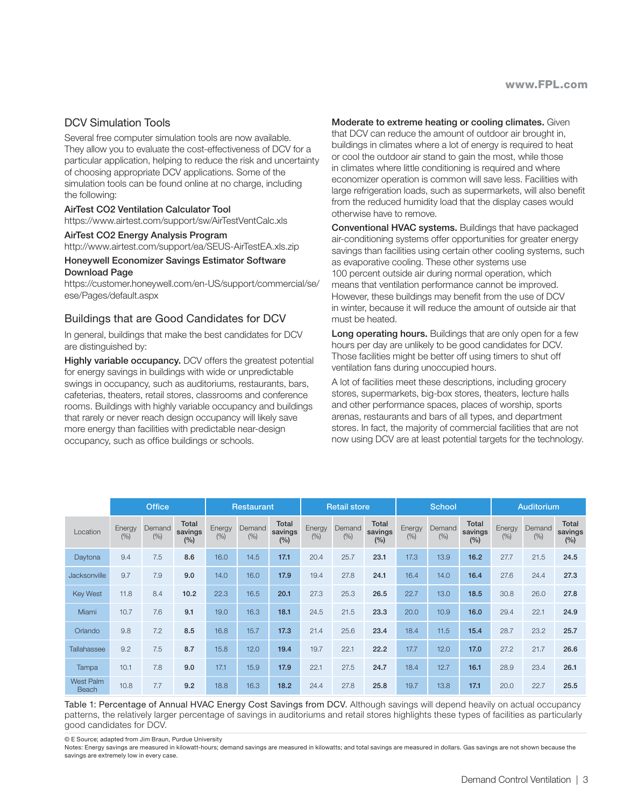## DCV Simulation Tools

Several free computer simulation tools are now available. They allow you to evaluate the cost-effectiveness of DCV for a particular application, helping to reduce the risk and uncertainty of choosing appropriate DCV applications. Some of the simulation tools can be found online at no charge, including the following:

#### AirTest CO2 Ventilation Calculator Tool

https://www.airtest.com/support/sw/AirTestVentCalc.xls

#### AirTest CO2 Energy Analysis Program

http://www.airtest.com/support/ea/SEUS-AirTestEA.xls.zip

#### Honeywell Economizer Savings Estimator Software Download Page

https://customer.honeywell.com/en-US/support/commercial/se/ ese/Pages/default.aspx

### Buildings that are Good Candidates for DCV

In general, buildings that make the best candidates for DCV are distinguished by:

**Highly variable occupancy.** DCV offers the greatest potential for energy savings in buildings with wide or unpredictable swings in occupancy, such as auditoriums, restaurants, bars, cafeterias, theaters, retail stores, classrooms and conference rooms. Buildings with highly variable occupancy and buildings that rarely or never reach design occupancy will likely save more energy than facilities with predictable near-design occupancy, such as office buildings or schools.

#### Moderate to extreme heating or cooling climates. Given

that DCV can reduce the amount of outdoor air brought in, buildings in climates where a lot of energy is required to heat or cool the outdoor air stand to gain the most, while those in climates where little conditioning is required and where economizer operation is common will save less. Facilities with large refrigeration loads, such as supermarkets, will also benefit from the reduced humidity load that the display cases would otherwise have to remove.

Conventional HVAC systems. Buildings that have packaged air-conditioning systems offer opportunities for greater energy savings than facilities using certain other cooling systems, such as evaporative cooling. These other systems use 100 percent outside air during normal operation, which means that ventilation performance cannot be improved. However, these buildings may benefit from the use of DCV in winter, because it will reduce the amount of outside air that must be heated.

Long operating hours. Buildings that are only open for a few hours per day are unlikely to be good candidates for DCV. Those facilities might be better off using timers to shut off ventilation fans during unoccupied hours.

A lot of facilities meet these descriptions, including grocery stores, supermarkets, big-box stores, theaters, lecture halls and other performance spaces, places of worship, sports arenas, restaurants and bars of all types, and department stores. In fact, the majority of commercial facilities that are not now using DCV are at least potential targets for the technology.

|                           | <b>Office</b>  |                |                         | <b>Restaurant</b> |                |                         | <b>Retail store</b> |                |                         | <b>School</b>  |                |                         | Auditorium     |                |                         |
|---------------------------|----------------|----------------|-------------------------|-------------------|----------------|-------------------------|---------------------|----------------|-------------------------|----------------|----------------|-------------------------|----------------|----------------|-------------------------|
| Location                  | Energy<br>(% ) | Demand<br>(% ) | Total<br>savings<br>(%) | Energy<br>(% )    | Demand<br>(% ) | Total<br>savings<br>(%) | Energy<br>(% )      | Demand<br>(% ) | Total<br>savings<br>(%) | Energy<br>(% ) | Demand<br>(% ) | Total<br>savings<br>(%) | Energy<br>(% ) | Demand<br>(% ) | Total<br>savings<br>(%) |
| Daytona                   | 9.4            | 7.5            | 8.6                     | 16.0              | 14.5           | 17.1                    | 20.4                | 25.7           | 23.1                    | 17.3           | 13.9           | 16.2                    | 27.7           | 21.5           | 24.5                    |
| Jacksonville              | 9.7            | 7.9            | 9.0                     | 14.0              | 16.0           | 17.9                    | 19.4                | 27.8           | 24.1                    | 16.4           | 14.0           | 16.4                    | 27.6           | 24.4           | 27.3                    |
| <b>Key West</b>           | 11.8           | 8.4            | 10.2                    | 22.3              | 16.5           | 20.1                    | 27.3                | 25.3           | 26.5                    | 22.7           | 13.0           | 18.5                    | 30.8           | 26.0           | 27.8                    |
| Miami                     | 10.7           | 7.6            | 9.1                     | 19.0              | 16.3           | 18.1                    | 24.5                | 21.5           | 23.3                    | 20.0           | 10.9           | 16.0                    | 29.4           | 22.1           | 24.9                    |
| Orlando                   | 9.8            | 7.2            | 8.5                     | 16.8              | 15.7           | 17.3                    | 21.4                | 25.6           | 23.4                    | 18.4           | 11.5           | 15.4                    | 28.7           | 23.2           | 25.7                    |
| Tallahassee               | 9.2            | 7.5            | 8.7                     | 15.8              | 12.0           | 19.4                    | 19.7                | 22.1           | 22.2                    | 17.7           | 12.0           | 17.0                    | 27.2           | 21.7           | 26.6                    |
| Tampa                     | 10.1           | 7.8            | 9.0                     | 17.1              | 15.9           | 17.9                    | 22.1                | 27.5           | 24.7                    | 18.4           | 12.7           | 16.1                    | 28.9           | 23.4           | 26.1                    |
| <b>West Palm</b><br>Beach | 10.8           | 7.7            | 9.2                     | 18.8              | 16.3           | 18.2                    | 24.4                | 27.8           | 25.8                    | 19.7           | 13.8           | 17.1                    | 20.0           | 22.7           | 25.5                    |

Table 1: Percentage of Annual HVAC Energy Cost Savings from DCV. Although savings will depend heavily on actual occupancy patterns, the relatively larger percentage of savings in auditoriums and retail stores highlights these types of facilities as particularly good candidates for DCV.

© E Source; adapted from Jim Braun, Purdue University

Notes: Energy savings are measured in kilowatt-hours; demand savings are measured in kilowatts; and total savings are measured in dollars. Gas savings are not shown because the savings are extremely low in every case.